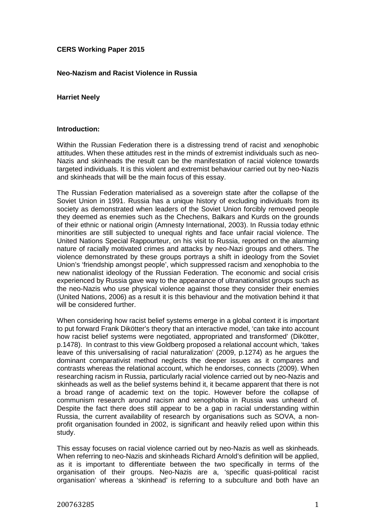# **CERS Working Paper 2015**

# **Neo-Nazism and Racist Violence in Russia**

### **Harriet Neely**

#### **Introduction:**

Within the Russian Federation there is a distressing trend of racist and xenophobic attitudes. When these attitudes rest in the minds of extremist individuals such as neo-Nazis and skinheads the result can be the manifestation of racial violence towards targeted individuals. It is this violent and extremist behaviour carried out by neo-Nazis and skinheads that will be the main focus of this essay.

The Russian Federation materialised as a sovereign state after the collapse of the Soviet Union in 1991. Russia has a unique history of excluding individuals from its society as demonstrated when leaders of the Soviet Union forcibly removed people they deemed as enemies such as the Chechens, Balkars and Kurds on the grounds of their ethnic or national origin (Amnesty International, 2003). In Russia today ethnic minorities are still subjected to unequal rights and face unfair racial violence. The United Nations Special Rappourteur, on his visit to Russia, reported on the alarming nature of racially motivated crimes and attacks by neo-Nazi groups and others. The violence demonstrated by these groups portrays a shift in ideology from the Soviet Union's 'friendship amongst people', which suppressed racism and xenophobia to the new nationalist ideology of the Russian Federation. The economic and social crisis experienced by Russia gave way to the appearance of ultranationalist groups such as the neo-Nazis who use physical violence against those they consider their enemies (United Nations, 2006) as a result it is this behaviour and the motivation behind it that will be considered further.

When considering how racist belief systems emerge in a global context it is important to put forward Frank Dikötter's theory that an interactive model, 'can take into account how racist belief systems were negotiated, appropriated and transformed' (Dikötter, p.1478). In contrast to this view Goldberg proposed a relational account which, 'takes leave of this universalising of racial naturalization' (2009, p.1274) as he argues the dominant comparativist method neglects the deeper issues as it compares and contrasts whereas the relational account, which he endorses, connects (2009). When researching racism in Russia, particularly racial violence carried out by neo-Nazis and skinheads as well as the belief systems behind it, it became apparent that there is not a broad range of academic text on the topic. However before the collapse of communism research around racism and xenophobia in Russia was unheard of. Despite the fact there does still appear to be a gap in racial understanding within Russia, the current availability of research by organisations such as SOVA, a nonprofit organisation founded in 2002, is significant and heavily relied upon within this study.

This essay focuses on racial violence carried out by neo-Nazis as well as skinheads. When referring to neo-Nazis and skinheads Richard Arnold's definition will be applied, as it is important to differentiate between the two specifically in terms of the organisation of their groups. Neo-Nazis are a, 'specific quasi-political racist organisation' whereas a 'skinhead' is referring to a subculture and both have an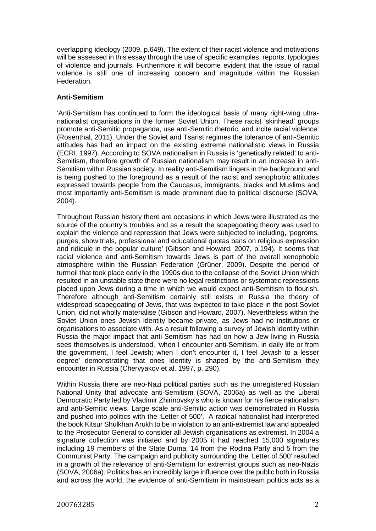overlapping ideology (2009, p.649). The extent of their racist violence and motivations will be assessed in this essay through the use of specific examples, reports, typologies of violence and journals. Furthermore it will become evident that the issue of racial violence is still one of increasing concern and magnitude within the Russian Federation.

### **Anti-Semitism**

'Anti-Semitism has continued to form the ideological basis of many right-wing ultranationalist organisations in the former Soviet Union. These racist 'skinhead' groups promote anti-Semitic propaganda, use anti-Semitic rhetoric, and incite racial violence' (Rosenthal, 2011). Under the Soviet and Tsarist regimes the tolerance of anti-Semitic attitudes has had an impact on the existing extreme nationalistic views in Russia (ECRI, 1997). According to SOVA nationalism in Russia is 'genetically related' to anti-Semitism, therefore growth of Russian nationalism may result in an increase in anti-Semitism within Russian society. In reality anti-Semitism lingers in the background and is being pushed to the foreground as a result of the racist and xenophobic attitudes expressed towards people from the Caucasus, immigrants, blacks and Muslims and most importantly anti-Semitism is made prominent due to political discourse (SOVA, 2004).

Throughout Russian history there are occasions in which Jews were illustrated as the source of the country's troubles and as a result the scapegoating theory was used to explain the violence and repression that Jews were subjected to including, 'pogroms, purges, show trials, professional and educational quotas bans on religious expression and ridicule in the popular culture' (Gibson and Howard, 2007, p.194). It seems that racial violence and anti-Semitism towards Jews is part of the overall xenophobic atmosphere within the Russian Federation (Grüner, 2009). Despite the period of turmoil that took place early in the 1990s due to the collapse of the Soviet Union which resulted in an unstable state there were no legal restrictions or systematic repressions placed upon Jews during a time in which we would expect anti-Semitism to flourish. Therefore although anti-Semitism certainly still exists in Russia the theory of widespread scapegoating of Jews, that was expected to take place in the post Soviet Union, did not wholly materialise (Gibson and Howard, 2007). Nevertheless within the Soviet Union ones Jewish identity became private, as Jews had no institutions or organisations to associate with. As a result following a survey of Jewish identity within Russia the major impact that anti-Semitism has had on how a Jew living in Russia sees themselves is understood, 'when I encounter anti-Semitism, in daily life or from the government, I feel Jewish; when I don't encounter it, I feel Jewish to a lesser degree' demonstrating that ones identity is shaped by the anti-Semitism they encounter in Russia (Chervyakov et al, 1997, p. 290).

Within Russia there are neo-Nazi political parties such as the unregistered Russian National Unity that advocate anti-Semitism (SOVA, 2006a) as well as the Liberal Democratic Party led by Vladimir Zhirinovsky's who is known for his fierce nationalism and anti-Semitic views. Large scale anti-Semitic action was demonstrated in Russia and pushed into politics with the 'Letter of 500'. A radical nationalist had interpreted the book Kitsur Shulkhan Arukh to be in violation to an anti-extremist law and appealed to the Prosecutor General to consider all Jewish organisations as extremist. In 2004 a signature collection was initiated and by 2005 it had reached 15,000 signatures including 19 members of the State Duma, 14 from the Rodina Party and 5 from the Communist Party. The campaign and publicity surrounding the 'Letter of 500' resulted in a growth of the relevance of anti-Semitism for extremist groups such as neo-Nazis (SOVA, 2006a). Politics has an incredibly large influence over the public both in Russia and across the world, the evidence of anti-Semitism in mainstream politics acts as a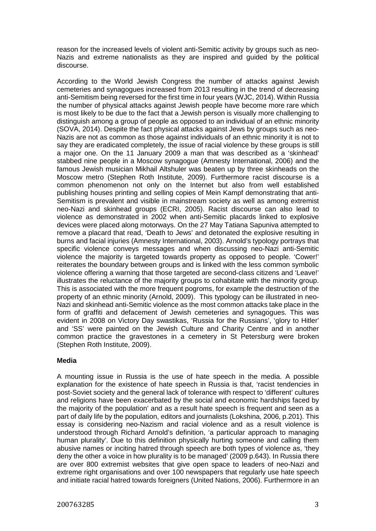reason for the increased levels of violent anti-Semitic activity by groups such as neo-Nazis and extreme nationalists as they are inspired and guided by the political discourse.

According to the World Jewish Congress the number of attacks against Jewish cemeteries and synagogues increased from 2013 resulting in the trend of decreasing anti-Semitism being reversed for the first time in four years (WJC, 2014). Within Russia the number of physical attacks against Jewish people have become more rare which is most likely to be due to the fact that a Jewish person is visually more challenging to distinguish among a group of people as opposed to an individual of an ethnic minority (SOVA, 2014). Despite the fact physical attacks against Jews by groups such as neo-Nazis are not as common as those against individuals of an ethnic minority it is not to say they are eradicated completely, the issue of racial violence by these groups is still a major one. On the 11 January 2009 a man that was described as a 'skinhead' stabbed nine people in a Moscow synagogue (Amnesty International, 2006) and the famous Jewish musician Mikhail Altshuler was beaten up by three skinheads on the Moscow metro (Stephen Roth Institute, 2009). Furthermore racist discourse is a common phenomenon not only on the Internet but also from well established publishing houses printing and selling copies of Mein Kampf demonstrating that anti-Semitism is prevalent and visible in mainstream society as well as among extremist neo-Nazi and skinhead groups (ECRI, 2005). Racist discourse can also lead to violence as demonstrated in 2002 when anti-Semitic placards linked to explosive devices were placed along motorways. On the 27 May Tatiana Sapuniva attempted to remove a placard that read, 'Death to Jews' and detonated the explosive resulting in burns and facial injuries (Amnesty International, 2003). Arnold's typology portrays that specific violence conveys messages and when discussing neo-Nazi anti-Semitic violence the majority is targeted towards property as opposed to people. 'Cower!' reiterates the boundary between groups and is linked with the less common symbolic violence offering a warning that those targeted are second-class citizens and 'Leave!' illustrates the reluctance of the majority groups to cohabitate with the minority group. This is associated with the more frequent pogroms, for example the destruction of the property of an ethnic minority (Arnold, 2009). This typology can be illustrated in neo-Nazi and skinhead anti-Semitic violence as the most common attacks take place in the form of graffiti and defacement of Jewish cemeteries and synagogues. This was evident in 2008 on Victory Day swastikas, 'Russia for the Russians', 'glory to Hitler' and 'SS' were painted on the Jewish Culture and Charity Centre and in another common practice the gravestones in a cemetery in St Petersburg were broken (Stephen Roth Institute, 2009).

# **Media**

A mounting issue in Russia is the use of hate speech in the media. A possible explanation for the existence of hate speech in Russia is that, 'racist tendencies in post-Soviet society and the general lack of tolerance with respect to 'different' cultures and religions have been exacerbated by the social and economic hardships faced by the majority of the population' and as a result hate speech is frequent and seen as a part of daily life by the population, editors and journalists (Lokshina, 2006, p.201). This essay is considering neo-Nazism and racial violence and as a result violence is understood through Richard Arnold's definition, 'a particular approach to managing human plurality'. Due to this definition physically hurting someone and calling them abusive names or inciting hatred through speech are both types of violence as, 'they deny the other a voice in how plurality is to be managed' (2009 p.643). In Russia there are over 800 extremist websites that give open space to leaders of neo-Nazi and extreme right organisations and over 100 newspapers that regularly use hate speech and initiate racial hatred towards foreigners (United Nations, 2006). Furthermore in an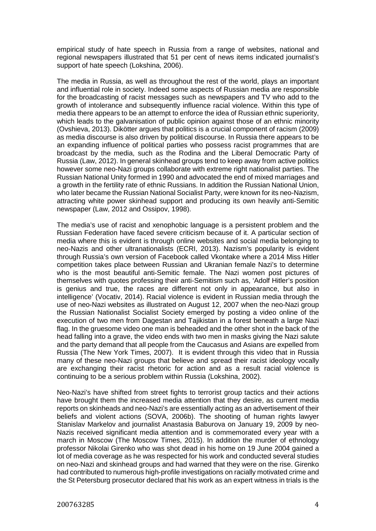empirical study of hate speech in Russia from a range of websites, national and regional newspapers illustrated that 51 per cent of news items indicated journalist's support of hate speech (Lokshina, 2006).

The media in Russia, as well as throughout the rest of the world, plays an important and influential role in society. Indeed some aspects of Russian media are responsible for the broadcasting of racist messages such as newspapers and TV who add to the growth of intolerance and subsequently influence racial violence. Within this type of media there appears to be an attempt to enforce the idea of Russian ethnic superiority, which leads to the galvanisation of public opinion against those of an ethnic minority (Ovshieva, 2013). Dikötter argues that politics is a crucial component of racism (2009) as media discourse is also driven by political discourse. In Russia there appears to be an expanding influence of political parties who possess racist programmes that are broadcast by the media, such as the Rodina and the Liberal Democratic Party of Russia (Law, 2012). In general skinhead groups tend to keep away from active politics however some neo-Nazi groups collaborate with extreme right nationalist parties. The Russian National Unity formed in 1990 and advocated the end of mixed marriages and a growth in the fertility rate of ethnic Russians. In addition the Russian National Union, who later became the Russian National Socialist Party, were known for its neo-Nazism, attracting white power skinhead support and producing its own heavily anti-Semitic newspaper (Law, 2012 and Ossipov, 1998).

The media's use of racist and xenophobic language is a persistent problem and the Russian Federation have faced severe criticism because of it. A particular section of media where this is evident is through online websites and social media belonging to neo-Nazis and other ultranationalists (ECRI, 2013). Nazism's popularity is evident through Russia's own version of Facebook called Vkontake where a 2014 Miss Hitler competition takes place between Russian and Ukranian female Nazi's to determine who is the most beautiful anti-Semitic female. The Nazi women post pictures of themselves with quotes professing their anti-Semitism such as, 'Adolf Hitler's position is genius and true, the races are different not only in appearance, but also in intelligence' (Vocativ, 2014). Racial violence is evident in Russian media through the use of neo-Nazi websites as illustrated on August 12, 2007 when the neo-Nazi group the Russian Nationalist Socialist Society emerged by posting a video online of the execution of two men from Dagestan and Tajikistan in a forest beneath a large Nazi flag. In the gruesome video one man is beheaded and the other shot in the back of the head falling into a grave, the video ends with two men in masks giving the Nazi salute and the party demand that all people from the Caucasus and Asians are expelled from Russia (The New York Times, 2007). It is evident through this video that in Russia many of these neo-Nazi groups that believe and spread their racist ideology vocally are exchanging their racist rhetoric for action and as a result racial violence is continuing to be a serious problem within Russia (Lokshina, 2002).

Neo-Nazi's have shifted from street fights to terrorist group tactics and their actions have brought them the increased media attention that they desire, as current media reports on skinheads and neo-Nazi's are essentially acting as an advertisement of their beliefs and violent actions (SOVA, 2006b). The shooting of human rights lawyer Stanislav Markelov and journalist Anastasia Baburova on January 19, 2009 by neo-Nazis received significant media attention and is commemorated every year with a march in Moscow (The Moscow Times, 2015). In addition the murder of ethnology professor Nikolai Girenko who was shot dead in his home on 19 June 2004 gained a lot of media coverage as he was respected for his work and conducted several studies on neo-Nazi and skinhead groups and had warned that they were on the rise. Girenko had contributed to numerous high-profile investigations on racially motivated crime and the St Petersburg prosecutor declared that his work as an expert witness in trials is the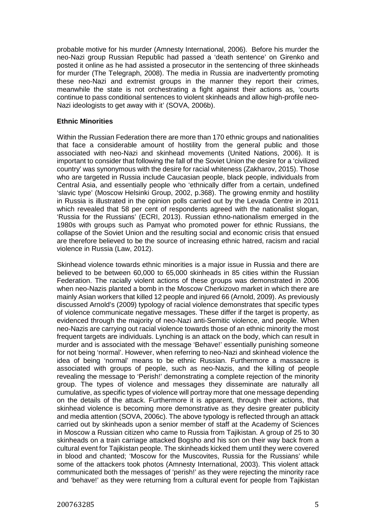probable motive for his murder (Amnesty International, 2006). Before his murder the neo-Nazi group Russian Republic had passed a 'death sentence' on Girenko and posted it online as he had assisted a prosecutor in the sentencing of three skinheads for murder (The Telegraph, 2008). The media in Russia are inadvertently promoting these neo-Nazi and extremist groups in the manner they report their crimes, meanwhile the state is not orchestrating a fight against their actions as, 'courts continue to pass conditional sentences to violent skinheads and allow high-profile neo-Nazi ideologists to get away with it' (SOVA, 2006b).

# **Ethnic Minorities**

Within the Russian Federation there are more than 170 ethnic groups and nationalities that face a considerable amount of hostility from the general public and those associated with neo-Nazi and skinhead movements (United Nations, 2006). It is important to consider that following the fall of the Soviet Union the desire for a 'civilized country' was synonymous with the desire for racial whiteness (Zakharov, 2015). Those who are targeted in Russia include Caucasian people, black people, individuals from Central Asia, and essentially people who 'ethnically differ from a certain, undefined 'slavic type' (Moscow Helsinki Group, 2002, p.368). The growing enmity and hostility in Russia is illustrated in the opinion polls carried out by the Levada Centre in 2011 which revealed that 58 per cent of respondents agreed with the nationalist slogan, 'Russia for the Russians' (ECRI, 2013). Russian ethno-nationalism emerged in the 1980s with groups such as Pamyat who promoted power for ethnic Russians, the collapse of the Soviet Union and the resulting social and economic crisis that ensued are therefore believed to be the source of increasing ethnic hatred, racism and racial violence in Russia (Law, 2012).

Skinhead violence towards ethnic minorities is a major issue in Russia and there are believed to be between 60,000 to 65,000 skinheads in 85 cities within the Russian Federation. The racially violent actions of these groups was demonstrated in 2006 when neo-Nazis planted a bomb in the Moscow Cherkizovo market in which there are mainly Asian workers that killed 12 people and injured 66 (Arnold, 2009). As previously discussed Arnold's (2009) typology of racial violence demonstrates that specific types of violence communicate negative messages. These differ if the target is property, as evidenced through the majority of neo-Nazi anti-Semitic violence, and people. When neo-Nazis are carrying out racial violence towards those of an ethnic minority the most frequent targets are individuals. Lynching is an attack on the body, which can result in murder and is associated with the message 'Behave!' essentially punishing someone for not being 'normal'. However, when referring to neo-Nazi and skinhead violence the idea of being 'normal' means to be ethnic Russian. Furthermore a massacre is associated with groups of people, such as neo-Nazis, and the killing of people revealing the message to 'Perish!' demonstrating a complete rejection of the minority group. The types of violence and messages they disseminate are naturally all cumulative, as specific types of violence will portray more that one message depending on the details of the attack. Furthermore it is apparent, through their actions, that skinhead violence is becoming more demonstrative as they desire greater publicity and media attention (SOVA, 2006c). The above typology is reflected through an attack carried out by skinheads upon a senior member of staff at the Academy of Sciences in Moscow a Russian citizen who came to Russia from Tajikistan. A group of 25 to 30 skinheads on a train carriage attacked Bogsho and his son on their way back from a cultural event for Tajikistan people. The skinheads kicked them until they were covered in blood and chanted; 'Moscow for the Muscovites, Russia for the Russians' while some of the attackers took photos (Amnesty International, 2003). This violent attack communicated both the messages of 'perish!' as they were rejecting the minority race and 'behave!' as they were returning from a cultural event for people from Tajikistan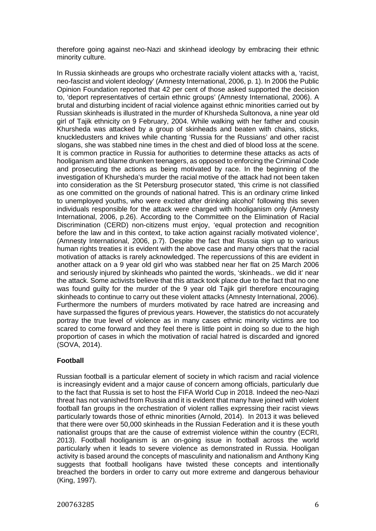therefore going against neo-Nazi and skinhead ideology by embracing their ethnic minority culture.

In Russia skinheads are groups who orchestrate racially violent attacks with a, 'racist, neo-fascist and violent ideology' (Amnesty International, 2006, p. 1). In 2006 the Public Opinion Foundation reported that 42 per cent of those asked supported the decision to, 'deport representatives of certain ethnic groups' (Amnesty International, 2006). A brutal and disturbing incident of racial violence against ethnic minorities carried out by Russian skinheads is illustrated in the murder of Khursheda Sultonova, a nine year old girl of Tajik ethnicity on 9 February, 2004. While walking with her father and cousin Khursheda was attacked by a group of skinheads and beaten with chains, sticks, knuckledusters and knives while chanting 'Russia for the Russians' and other racist slogans, she was stabbed nine times in the chest and died of blood loss at the scene. It is common practice in Russia for authorities to determine these attacks as acts of hooliganism and blame drunken teenagers, as opposed to enforcing the Criminal Code and prosecuting the actions as being motivated by race. In the beginning of the investigation of Khursheda's murder the racial motive of the attack had not been taken into consideration as the St Petersburg prosecutor stated, 'this crime is not classified as one committed on the grounds of national hatred. This is an ordinary crime linked to unemployed youths, who were excited after drinking alcohol' following this seven individuals responsible for the attack were charged with hooliganism only (Amnesty International, 2006, p.26). According to the Committee on the Elimination of Racial Discrimination (CERD) non-citizens must enjoy, 'equal protection and recognition before the law and in this context, to take action against racially motivated violence', (Amnesty International, 2006, p.7). Despite the fact that Russia sign up to various human rights treaties it is evident with the above case and many others that the racial motivation of attacks is rarely acknowledged. The repercussions of this are evident in another attack on a 9 year old girl who was stabbed near her flat on 25 March 2006 and seriously injured by skinheads who painted the words, 'skinheads.. we did it' near the attack. Some activists believe that this attack took place due to the fact that no one was found guilty for the murder of the 9 year old Tajik girl therefore encouraging skinheads to continue to carry out these violent attacks (Amnesty International, 2006). Furthermore the numbers of murders motivated by race hatred are increasing and have surpassed the figures of previous years. However, the statistics do not accurately portray the true level of violence as in many cases ethnic minority victims are too scared to come forward and they feel there is little point in doing so due to the high proportion of cases in which the motivation of racial hatred is discarded and ignored (SOVA, 2014).

# **Football**

Russian football is a particular element of society in which racism and racial violence is increasingly evident and a major cause of concern among officials, particularly due to the fact that Russia is set to host the FIFA World Cup in 2018. Indeed the neo-Nazi threat has not vanished from Russia and it is evident that many have joined with violent football fan groups in the orchestration of violent rallies expressing their racist views particularly towards those of ethnic minorities (Arnold, 2014). In 2013 it was believed that there were over 50,000 skinheads in the Russian Federation and it is these youth nationalist groups that are the cause of extremist violence within the country (ECRI, 2013). Football hooliganism is an on-going issue in football across the world particularly when it leads to severe violence as demonstrated in Russia. Hooligan activity is based around the concepts of masculinity and nationalism and Anthony King suggests that football hooligans have twisted these concepts and intentionally breached the borders in order to carry out more extreme and dangerous behaviour (King, 1997).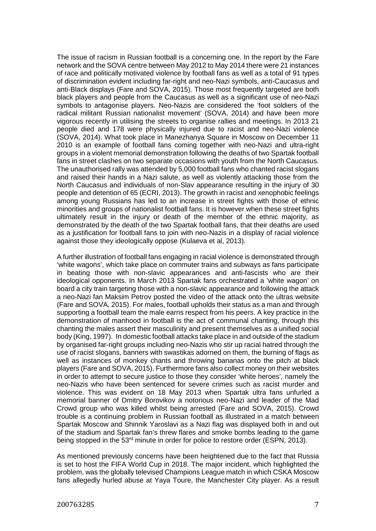The issue of racism in Russian football is a concerning one. In the report by the Fare network and the SOVA centre between May 2012 to May 2014 there were 21 instances of race and politically motivated violence by football fans as well as a total of 91 types of discrimination evident including far-right and neo-Nazi symbols, anti-Caucasus and anti-Black displays (Fare and SOVA, 2015). Those most frequently targeted are both black players and people from the Caucasus as well as a significant use of neo-Nazi symbols to antagonise players. Neo-Nazis are considered the 'foot soldiers of the radical militant Russian nationalist movement' (SOVA, 2014) and have been more vigorous recently in utilising the streets to organise rallies and meetings. In 2013 21 people died and 178 were physically injured due to racist and neo-Nazi violence (SOVA, 2014). What took place in Manezhanya Square in Moscow on December 11 2010 is an example of football fans coming together with neo-Nazi and ultra-right groups in a violent memorial demonstration following the deaths of two Spartak football fans in street clashes on two separate occasions with youth from the North Caucasus. The unauthorised rally was attended by 5,000 football fans who chanted racist slogans and raised their hands in a Nazi salute, as well as violently attacking those from the North Caucasus and individuals of non-Slav appearance resulting in the injury of 30 people and detention of 65 (ECRI, 2013). The growth in racist and xenophobic feelings among young Russians has led to an increase in street fights with those of ethnic minorities and groups of nationalist football fans. It is however when these street fights ultimately result in the injury or death of the member of the ethnic majority, as demonstrated by the death of the two Spartak football fans, that their deaths are used as a justification for football fans to join with neo-Nazis in a display of racial violence against those they ideologically oppose (Kulaeva et al, 2013).

A further illustration of football fans engaging in racial violence is demonstrated through 'white wagons', which take place on commuter trains and subways as fans participate in beating those with non-slavic appearances and anti-fascists who are their ideological opponents. In March 2013 Spartak fans orchestrated a 'white wagon' on board a city train targeting those with a non-slavic appearance and following the attack a neo-Nazi fan Maksim Petrov posted the video of the attack onto the ultras website (Fare and SOVA, 2015). For males, football upholds their status as a man and through supporting a football team the male earns respect from his peers. A key practice in the demonstration of manhood in football is the act of communal chanting, through this chanting the males assert their masculinity and present themselves as a unified social body (King, 1997). In domestic football attacks take place in and outside of the stadium by organised far-right groups including neo-Nazis who stir up racial hatred through the use of racist slogans, banners with swastikas adorned on them, the burning of flags as well as instances of monkey chants and throwing bananas onto the pitch at black players (Fare and SOVA, 2015). Furthermore fans also collect money on their websites in order to attempt to secure justice to those they consider 'white heroes', namely the neo-Nazis who have been sentenced for severe crimes such as racist murder and violence. This was evident on 18 May 2013 when Spartak ultra fans unfurled a memorial banner of Dmitry Borovikov a notorious neo-Nazi and leader of the Mad Crowd group who was killed whilst being arrested (Fare and SOVA, 2015). Crowd trouble is a continuing problem in Russian football as illustrated in a match between Spartak Moscow and Shinnik Yaroslavi as a Nazi flag was displayed both in and out of the stadium and Spartak fan's threw flares and smoke bombs leading to the game being stopped in the 53<sup>rd</sup> minute in order for police to restore order (ESPN, 2013).

As mentioned previously concerns have been heightened due to the fact that Russia is set to host the FIFA World Cup in 2018. The major incident, which highlighted the problem, was the globally televised Champions League match in which CSKA Moscow fans allegedly hurled abuse at Yaya Toure, the Manchester City player. As a result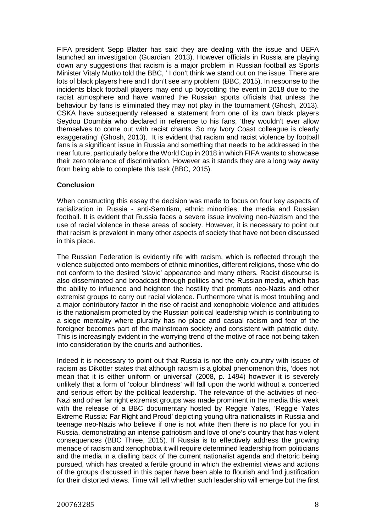FIFA president Sepp Blatter has said they are dealing with the issue and UEFA launched an investigation (Guardian, 2013). However officials in Russia are playing down any suggestions that racism is a major problem in Russian football as Sports Minister Vitaly Mutko told the BBC, ' I don't think we stand out on the issue. There are lots of black players here and I don't see any problem' (BBC, 2015). In response to the incidents black football players may end up boycotting the event in 2018 due to the racist atmosphere and have warned the Russian sports officials that unless the behaviour by fans is eliminated they may not play in the tournament (Ghosh, 2013). CSKA have subsequently released a statement from one of its own black players Seydou Doumbia who declared in reference to his fans, 'they wouldn't ever allow themselves to come out with racist chants. So my Ivory Coast colleague is clearly exaggerating' (Ghosh, 2013). It is evident that racism and racist violence by football fans is a significant issue in Russia and something that needs to be addressed in the near future, particularly before the World Cup in 2018 in which FIFA wants to showcase their zero tolerance of discrimination. However as it stands they are a long way away from being able to complete this task (BBC, 2015).

# **Conclusion**

When constructing this essay the decision was made to focus on four key aspects of racialization in Russia - anti-Semitism, ethnic minorities, the media and Russian football. It is evident that Russia faces a severe issue involving neo-Nazism and the use of racial violence in these areas of society. However, it is necessary to point out that racism is prevalent in many other aspects of society that have not been discussed in this piece.

The Russian Federation is evidently rife with racism, which is reflected through the violence subjected onto members of ethnic minorities, different religions, those who do not conform to the desired 'slavic' appearance and many others. Racist discourse is also disseminated and broadcast through politics and the Russian media, which has the ability to influence and heighten the hostility that prompts neo-Nazis and other extremist groups to carry out racial violence. Furthermore what is most troubling and a major contributory factor in the rise of racist and xenophobic violence and attitudes is the nationalism promoted by the Russian political leadership which is contributing to a siege mentality where plurality has no place and casual racism and fear of the foreigner becomes part of the mainstream society and consistent with patriotic duty. This is increasingly evident in the worrying trend of the motive of race not being taken into consideration by the courts and authorities.

Indeed it is necessary to point out that Russia is not the only country with issues of racism as Dikötter states that although racism is a global phenomenon this, 'does not mean that it is either uniform or universal' (2008, p. 1494) however it is severely unlikely that a form of 'colour blindness' will fall upon the world without a concerted and serious effort by the political leadership. The relevance of the activities of neo-Nazi and other far right extremist groups was made prominent in the media this week with the release of a BBC documentary hosted by Reggie Yates, 'Reggie Yates Extreme Russia: Far Right and Proud' depicting young ultra-nationalists in Russia and teenage neo-Nazis who believe if one is not white then there is no place for you in Russia, demonstrating an intense patriotism and love of one's country that has violent consequences (BBC Three, 2015). If Russia is to effectively address the growing menace of racism and xenophobia it will require determined leadership from politicians and the media in a dialling back of the current nationalist agenda and rhetoric being pursued, which has created a fertile ground in which the extremist views and actions of the groups discussed in this paper have been able to flourish and find justification for their distorted views. Time will tell whether such leadership will emerge but the first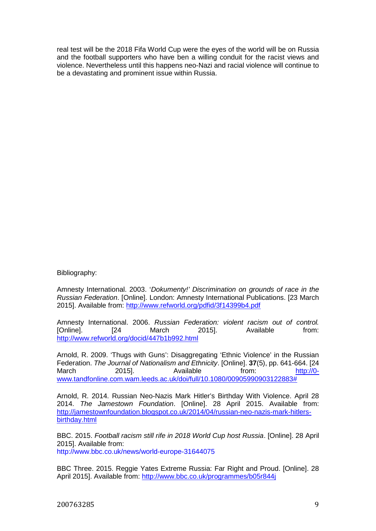real test will be the 2018 Fifa World Cup were the eyes of the world will be on Russia and the football supporters who have ben a willing conduit for the racist views and violence. Nevertheless until this happens neo-Nazi and racial violence will continue to be a devastating and prominent issue within Russia.

Bibliography:

Amnesty International. 2003. '*Dokumenty!' Discrimination on grounds of race in the Russian Federation*. [Online]. London: Amnesty International Publications. [23 March 2015]. Available from: http://www.refworld.org/pdfid/3f14399b4.pdf

Amnesty International. 2006. *Russian Federation: violent racism out of control.* [Online]. [24 March 2015]. Available from: http://www.refworld.org/docid/447b1b992.html

Arnold, R. 2009. 'Thugs with Guns': Disaggregating 'Ethnic Violence' in the Russian Federation. *The Journal of Nationalism and Ethnicity*. [Online]. **37**(5), pp. 641-664. [24 March 2015]. Available from: http://0www.tandfonline.com.wam.leeds.ac.uk/doi/full/10.1080/00905990903122883#

Arnold, R. 2014. Russian Neo-Nazis Mark Hitler's Birthday With Violence. April 28 2014. *The Jamestown Foundation*. [Online]. 28 April 2015. Available from: http://jamestownfoundation.blogspot.co.uk/2014/04/russian-neo-nazis-mark-hitlersbirthday.html

BBC. 2015. *Football racism still rife in 2018 World Cup host Russia*. [Online]. 28 April 2015]. Available from: http://www.bbc.co.uk/news/world-europe-31644075

BBC Three. 2015. Reggie Yates Extreme Russia: Far Right and Proud. [Online]. 28 April 2015]. Available from: http://www.bbc.co.uk/programmes/b05r844j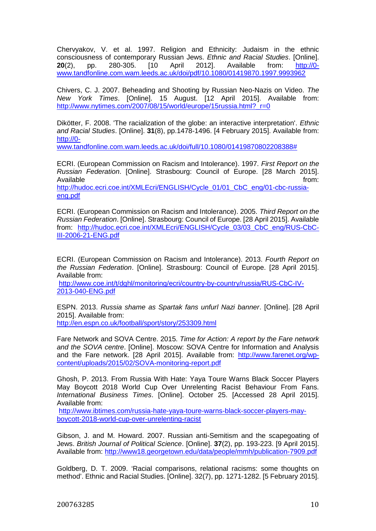Chervyakov, V. et al. 1997. Religion and Ethnicity: Judaism in the ethnic consciousness of contemporary Russian Jews. *Ethnic and Racial Studies*. [Online]. **20**(2), pp. 280-305. [10 April 2012]. Available from: http://0 www.tandfonline.com.wam.leeds.ac.uk/doi/pdf/10.1080/01419870.1997.9993962

Chivers, C. J. 2007. Beheading and Shooting by Russian Neo-Nazis on Video. *The New York Times*. [Online]. 15 August. [12 April 2015]. Available from: http://www.nytimes.com/2007/08/15/world/europe/15russia.html? r=0

Dikötter, F. 2008. 'The racialization of the globe: an interactive interpretation'. *Ethnic and Racial Studies*. [Online]. **31**(8), pp.1478-1496. [4 February 2015]. Available from: http://0-

www.tandfonline.com.wam.leeds.ac.uk/doi/full/10.1080/01419870802208388#

ECRI. (European Commission on Racism and Intolerance). 1997. *First Report on the Russian Federation*. [Online]. Strasbourg: Council of Europe. [28 March 2015]. Available from: http://hudoc.ecri.coe.int/XMLEcri/ENGLISH/Cycle\_01/01\_CbC\_eng/01-cbc-russiaeng.pdf

ECRI. (European Commission on Racism and Intolerance). 2005. *Third Report on the Russian Federation*. [Online]. Strasbourg: Council of Europe. [28 April 2015]. Available from: http://hudoc.ecri.coe.int/XMLEcri/ENGLISH/Cycle\_03/03\_CbC\_eng/RUS-CbC-III-2006-21-ENG.pdf

ECRI. (European Commission on Racism and Intolerance). 2013. *Fourth Report on the Russian Federation*. [Online]. Strasbourg: Council of Europe. [28 April 2015]. Available from:

http://www.coe.int/t/dghl/monitoring/ecri/country-by-country/russia/RUS-CbC-IV-2013-040-ENG.pdf

ESPN. 2013. *Russia shame as Spartak fans unfurl Nazi banner*. [Online]. [28 April 2015]. Available from:

http://en.espn.co.uk/football/sport/story/253309.html

Fare Network and SOVA Centre. 2015. *Time for Action: A report by the Fare network and the SOVA centre*. [Online]. Moscow: SOVA Centre for Information and Analysis and the Fare network. [28 April 2015]. Available from: http://www.farenet.org/wpcontent/uploads/2015/02/SOVA-monitoring-report.pdf

Ghosh, P. 2013. From Russia With Hate: Yaya Toure Warns Black Soccer Players May Boycott 2018 World Cup Over Unrelenting Racist Behaviour From Fans. *International Business Times*. [Online]. October 25. [Accessed 28 April 2015]. Available from:

http://www.ibtimes.com/russia-hate-yaya-toure-warns-black-soccer-players-mayboycott-2018-world-cup-over-unrelenting-racist

Gibson, J. and M. Howard. 2007. Russian anti-Semitism and the scapegoating of Jews. *British Journal of Political Science*. [Online]. **37**(2), pp. 193-223. [9 April 2015]. Available from: http://www18.georgetown.edu/data/people/mmh/publication-7909.pdf

Goldberg, D. T. 2009. 'Racial comparisons, relational racisms: some thoughts on method'. Ethnic and Racial Studies. [Online]. 32(7), pp. 1271-1282. [5 February 2015].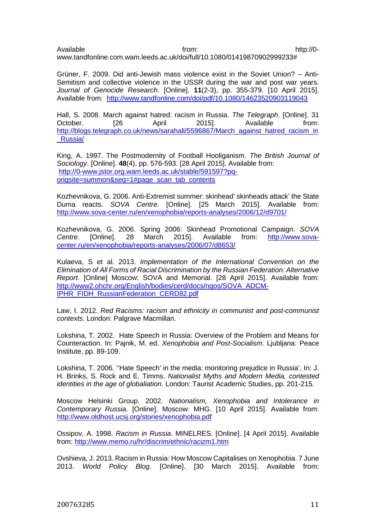Available http://0www.tandfonline.com.wam.leeds.ac.uk/doi/full/10.1080/01419870902999233#

Grüner, F. 2009. Did anti-Jewish mass violence exist in the Soviet Union? – Anti-Semitism and collective violence in the USSR during the war and post war years. *Journal of Genocide Research*. [Online]. **11**(2-3), pp. 355-379. [10 April 2015]. Available from: http://www.tandfonline.com/doi/pdf/10.1080/14623520903119043

Hall, S. 2008. March against hatred: racism in Russia. *The Telegraph*. [Online]. 31 October. [26 April 2015]. Available from: http://blogs.telegraph.co.uk/news/sarahall/5596867/March\_against\_hatred\_racism\_in \_Russia/

King, A. 1997. The Postmodernity of Football Hooliganism. *The British Journal of Sociology*. [Online]. **48**(4), pp. 576-593. [28 April 2015]. Available from: http://0-www.jstor.org.wam.leeds.ac.uk/stable/591597?pqorigsite=summon&seq=1#page\_scan\_tab\_contents

Kozhevnikova, G. 2006. Anti-Extremist summer: skinhead' skinheads attack' the State Duma reacts. *SOVA Centre*. [Online]. [25 March 2015]. Available from: http://www.sova-center.ru/en/xenophobia/reports-analyses/2006/12/d9701/

Kozhevnikova, G. 2006. Spring 2006: Skinhead Promotional Campaign. *SOVA Centre*. [Online]. 28 March 2015]. Available from: http://www.sovacenter.ru/en/xenophobia/reports-analyses/2006/07/d8653/

Kulaeva, S et al. 2013. *Implementation of the International Convention on the Elimination of All Forms of Racial Discrimination by the Russian Federation: Alternative Report*. [Online] Moscow: SOVA and Memorial. [28 April 2015]. Available from: http://www2.ohchr.org/English/bodies/cerd/docs/ngos/SOVA\_ADCM-IPHR\_FIDH\_RussianFederation\_CERD82.pdf

Law, I. 2012. *Red Racisms: racism and ethnicity in communist and post-communist contexts*. London: Palgrave Macmillan.

Lokshina, T. 2002. Hate Speech in Russia: Overview of the Problem and Means for Counteraction. In: Pajnik, M. ed. *Xenophobia and Post-Socialism*. Ljubljana: Peace Institute, pp. 89-109.

Lokshina, T. 2006. ''Hate Speech' in the media: monitoring prejudice in Russia'. In: J. H. Brinks, S. Rock and E. Timms. *Nationalist Myths and Modern Media, contested identities in the age of globaliation.* London: Taurist Academic Studies, pp. 201-215.

Moscow Helsinki Group. 2002. *Nationalism, Xenophobia and Intolerance in Contemporary Russia*. [Online]. Moscow: MHG. [10 April 2015]. Available from: http://www.oldhost.ucsj.org/stories/xenophobia.pdf

Ossipov, A. 1998. *Racism in Russia*. MINELRES. [Online]. [4 April 2015]. Available from: http://www.memo.ru/hr/discrim/ethnic/racizm1.htm

Ovshieva, J. 2013. Racism in Russia: How Moscow Capitalises on Xenophobia. 7 June 2013. *World Policy Blog*. [Online]. [30 March 2015]. Available from: